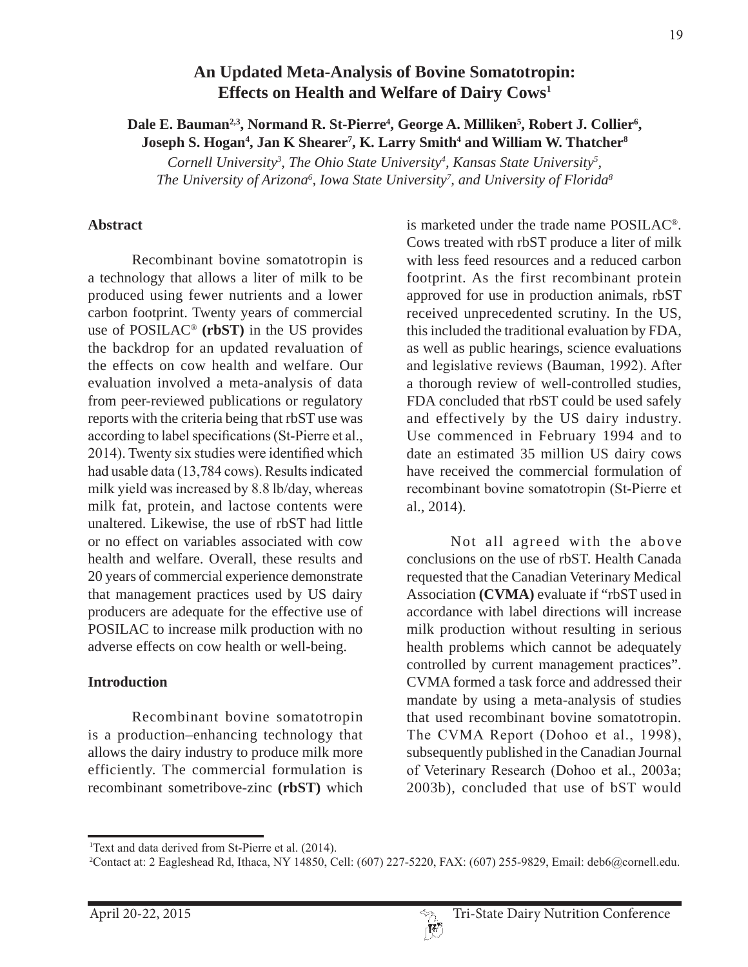# **An Updated Meta-Analysis of Bovine Somatotropin: Effects on Health and Welfare of Dairy Cows1**

# Dale E. Bauman<sup>2,3</sup>, Normand R. St-Pierre<sup>4</sup>, George A. Milliken<sup>5</sup>, Robert J. Collier<sup>6</sup>, **Joseph S. Hogan4 , Jan K Shearer7 , K. Larry Smith4 and William W. Thatcher8**

Cornell University<sup>3</sup>, The Ohio State University<sup>4</sup>, Kansas State University<sup>5</sup>, The University of Arizona<sup>6</sup>, Iowa State University<sup>7</sup>, and University of Florida<sup>8</sup>

#### **Abstract**

Recombinant bovine somatotropin is a technology that allows a liter of milk to be produced using fewer nutrients and a lower carbon footprint. Twenty years of commercial use of POSILAC® **(rbST)** in the US provides the backdrop for an updated revaluation of the effects on cow health and welfare. Our evaluation involved a meta-analysis of data from peer-reviewed publications or regulatory reports with the criteria being that rbST use was according to label specifications (St-Pierre et al., 2014). Twenty six studies were identified which had usable data (13,784 cows). Results indicated milk yield was increased by  $8.8$  lb/day, whereas milk fat, protein, and lactose contents were unaltered. Likewise, the use of rbST had little or no effect on variables associated with cow health and welfare. Overall, these results and 20 years of commercial experience demonstrate that management practices used by US dairy producers are adequate for the effective use of POSILAC to increase milk production with no adverse effects on cow health or well-being.

### **Introduction**

Recombinant bovine somatotropin is a production–enhancing technology that allows the dairy industry to produce milk more efficiently. The commercial formulation is recombinant sometribove-zinc **(rbST)** which is marketed under the trade name POSILAC®. Cows treated with rbST produce a liter of milk with less feed resources and a reduced carbon footprint. As the first recombinant protein approved for use in production animals, rbST received unprecedented scrutiny. In the US, this included the traditional evaluation by FDA, as well as public hearings, science evaluations and legislative reviews (Bauman, 1992). After a thorough review of well-controlled studies, FDA concluded that rbST could be used safely and effectively by the US dairy industry. Use commenced in February 1994 and to date an estimated 35 million US dairy cows have received the commercial formulation of recombinant bovine somatotropin (St-Pierre et al., 2014).

Not all agreed with the above conclusions on the use of rbST. Health Canada requested that the Canadian Veterinary Medical Association **(CVMA)** evaluate if "rbST used in accordance with label directions will increase milk production without resulting in serious health problems which cannot be adequately controlled by current management practices". CVMA formed a task force and addressed their mandate by using a meta-analysis of studies that used recombinant bovine somatotropin. The CVMA Report (Dohoo et al., 1998), subsequently published in the Canadian Journal of Veterinary Research (Dohoo et al., 2003a; 2003b), concluded that use of bST would

<sup>&</sup>lt;sup>1</sup>Text and data derived from St-Pierre et al. (2014).

<sup>&</sup>lt;sup>2</sup>Contact at: 2 Eagleshead Rd, Ithaca, NY 14850, Cell: (607) 227-5220, FAX: (607) 255-9829, Email: deb6@cornell.edu.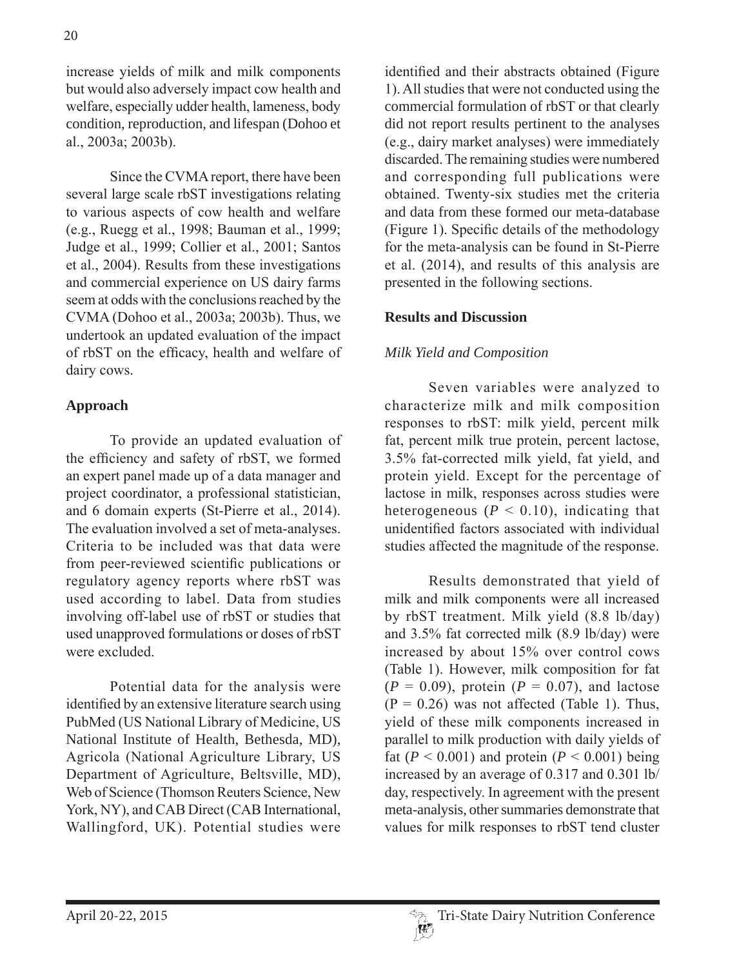increase yields of milk and milk components but would also adversely impact cow health and welfare, especially udder health, lameness, body condition, reproduction, and lifespan (Dohoo et al., 2003a; 2003b).

Since the CVMA report, there have been several large scale rbST investigations relating to various aspects of cow health and welfare (e.g., Ruegg et al., 1998; Bauman et al., 1999; Judge et al., 1999; Collier et al., 2001; Santos et al., 2004). Results from these investigations and commercial experience on US dairy farms seem at odds with the conclusions reached by the CVMA (Dohoo et al., 2003a; 2003b). Thus, we undertook an updated evaluation of the impact of rbST on the efficacy, health and welfare of dairy cows.

### **Approach**

To provide an updated evaluation of the efficiency and safety of rbST, we formed an expert panel made up of a data manager and project coordinator, a professional statistician, and 6 domain experts (St-Pierre et al., 2014). The evaluation involved a set of meta-analyses. Criteria to be included was that data were from peer-reviewed scientific publications or regulatory agency reports where rbST was used according to label. Data from studies involving off-label use of rbST or studies that used unapproved formulations or doses of rbST were excluded.

Potential data for the analysis were identified by an extensive literature search using PubMed (US National Library of Medicine, US National Institute of Health, Bethesda, MD), Agricola (National Agriculture Library, US Department of Agriculture, Beltsville, MD), Web of Science (Thomson Reuters Science, New York, NY), and CAB Direct (CAB International, Wallingford, UK). Potential studies were

identified and their abstracts obtained (Figure 1). All studies that were not conducted using the commercial formulation of rbST or that clearly did not report results pertinent to the analyses (e.g., dairy market analyses) were immediately discarded. The remaining studies were numbered and corresponding full publications were obtained. Twenty-six studies met the criteria and data from these formed our meta-database (Figure 1). Specific details of the methodology for the meta-analysis can be found in St-Pierre et al. (2014), and results of this analysis are presented in the following sections.

### **Results and Discussion**

# Milk Yield and Composition

Seven variables were analyzed to characterize milk and milk composition responses to rbST: milk yield, percent milk fat, percent milk true protein, percent lactose, 3.5% fat-corrected milk yield, fat yield, and protein yield. Except for the percentage of lactose in milk, responses across studies were heterogeneous ( $P < 0.10$ ), indicating that unidentified factors associated with individual studies affected the magnitude of the response.

Results demonstrated that yield of milk and milk components were all increased by rbST treatment. Milk yield (8.8 lb/day) and 3.5% fat corrected milk (8.9 lb/day) were increased by about 15% over control cows (Table 1). However, milk composition for fat  $(P = 0.09)$ , protein  $(P = 0.07)$ , and lactose  $(P = 0.26)$  was not affected (Table 1). Thus, yield of these milk components increased in parallel to milk production with daily yields of fat ( $P < 0.001$ ) and protein ( $P < 0.001$ ) being increased by an average of 0.317 and 0.301 lb/ day, respectively. In agreement with the present meta-analysis, other summaries demonstrate that values for milk responses to rbST tend cluster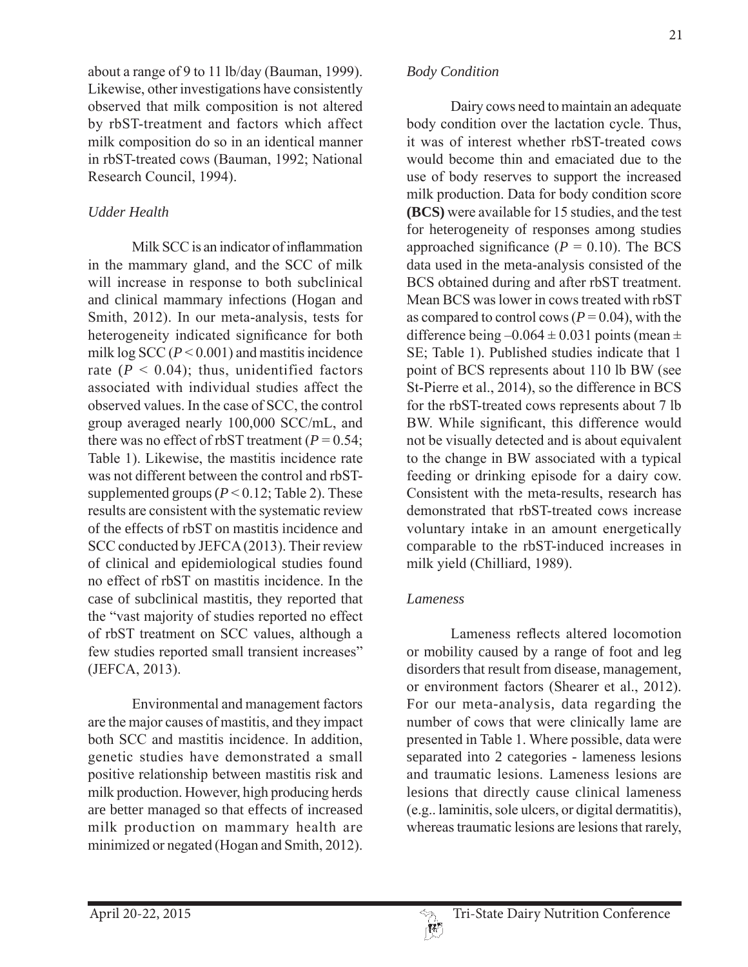about a range of 9 to 11 lb/day (Bauman, 1999). Likewise, other investigations have consistently observed that milk composition is not altered by rbST-treatment and factors which affect milk composition do so in an identical manner in rbST-treated cows (Bauman, 1992; National Research Council, 1994).

## *Udder Health*

Milk SCC is an indicator of inflammation in the mammary gland, and the SCC of milk will increase in response to both subclinical and clinical mammary infections (Hogan and Smith, 2012). In our meta-analysis, tests for heterogeneity indicated significance for both milk  $\log$  SCC ( $P < 0.001$ ) and mastitis incidence rate  $(P < 0.04)$ ; thus, unidentified factors associated with individual studies affect the observed values. In the case of SCC, the control group averaged nearly 100,000 SCC/mL, and there was no effect of rbST treatment ( $P = 0.54$ ; Table 1). Likewise, the mastitis incidence rate was not different between the control and rbSTsupplemented groups  $(P < 0.12$ ; Table 2). These results are consistent with the systematic review of the effects of rbST on mastitis incidence and SCC conducted by JEFCA (2013). Their review of clinical and epidemiological studies found no effect of rbST on mastitis incidence. In the case of subclinical mastitis, they reported that the "vast majority of studies reported no effect of rbST treatment on SCC values, although a few studies reported small transient increases"  $(JEFCA, 2013).$ 

Environmental and management factors are the major causes of mastitis, and they impact both SCC and mastitis incidence. In addition, genetic studies have demonstrated a small positive relationship between mastitis risk and milk production. However, high producing herds are better managed so that effects of increased milk production on mammary health are minimized or negated (Hogan and Smith, 2012).

#### *Body Condition*

Dairy cows need to maintain an adequate body condition over the lactation cycle. Thus, it was of interest whether rbST-treated cows would become thin and emaciated due to the use of body reserves to support the increased milk production. Data for body condition score **(BCS)** were available for 15 studies, and the test for heterogeneity of responses among studies approached significance  $(P = 0.10)$ . The BCS data used in the meta-analysis consisted of the BCS obtained during and after rbST treatment. Mean BCS was lower in cows treated with rbST as compared to control cows ( $P = 0.04$ ), with the difference being  $-0.064 \pm 0.031$  points (mean  $\pm$ SE; Table 1). Published studies indicate that 1 point of BCS represents about 110 lb BW (see St-Pierre et al., 2014), so the difference in BCS for the rbST-treated cows represents about 7 lb BW. While significant, this difference would not be visually detected and is about equivalent to the change in BW associated with a typical feeding or drinking episode for a dairy cow. Consistent with the meta-results, research has demonstrated that rbST-treated cows increase voluntary intake in an amount energetically comparable to the rbST-induced increases in milk yield (Chilliard, 1989).

### *Lameness*

Lameness reflects altered locomotion or mobility caused by a range of foot and leg disorders that result from disease, management, or environment factors (Shearer et al., 2012). For our meta-analysis, data regarding the number of cows that were clinically lame are presented in Table 1. Where possible, data were separated into 2 categories - lameness lesions and traumatic lesions Lameness lesions are lesions that directly cause clinical lameness  $(e.g., laminitis, sole ulcers, or digital demanditis)$ , whereas traumatic lesions are lesions that rarely,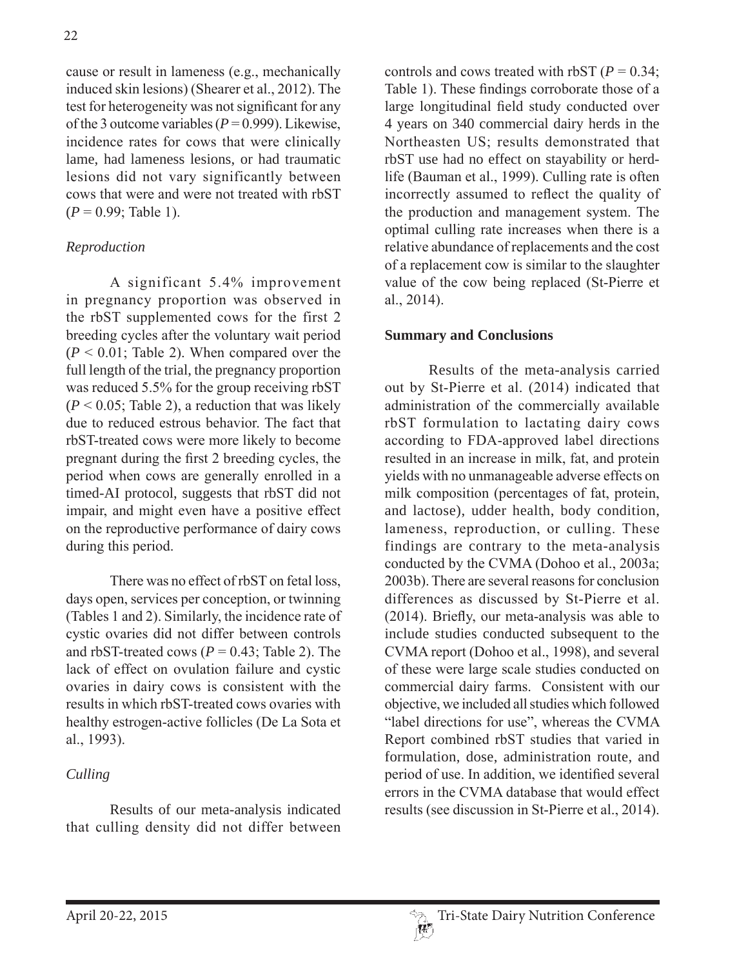cause or result in lameness (e.g., mechanically induced skin lesions) (Shearer et al., 2012). The test for heterogeneity was not significant for any of the 3 outcome variables ( $P = 0.999$ ). Likewise, incidence rates for cows that were clinically lame, had lameness lesions, or had traumatic lesions did not vary significantly between cows that were and were not treated with rbST  $(P = 0.99;$  Table 1).

# *Reproduction*

A significant  $5.4\%$  improvement in pregnancy proportion was observed in the rbST supplemented cows for the first 2 breeding cycles after the voluntary wait period  $(P < 0.01$ ; Table 2). When compared over the full length of the trial, the pregnancy proportion was reduced 5.5% for the group receiving rbST  $(P < 0.05$ ; Table 2), a reduction that was likely due to reduced estrous behavior. The fact that rbST-treated cows were more likely to become pregnant during the first 2 breeding cycles, the period when cows are generally enrolled in a timed-AI protocol, suggests that rbST did not impair, and might even have a positive effect on the reproductive performance of dairy cows during this period.

There was no effect of rbST on fetal loss, days open, services per conception, or twinning (Tables 1 and 2). Similarly, the incidence rate of cystic ovaries did not differ between controls and rbST-treated cows ( $P = 0.43$ ; Table 2). The lack of effect on ovulation failure and cystic ovaries in dairy cows is consistent with the results in which rbST-treated cows ovaries with healthy estrogen-active follicles (De La Sota et al., 1993).

# *Culling*

Results of our meta-analysis indicated that culling density did not differ between controls and cows treated with rbST ( $P = 0.34$ ; Table 1). These findings corroborate those of a large longitudinal field study conducted over 4 years on 340 commercial dairy herds in the Northeasten US; results demonstrated that rbST use had no effect on stayability or herdlife (Bauman et al., 1999). Culling rate is often incorrectly assumed to reflect the quality of the production and management system. The optimal culling rate increases when there is a relative abundance of replacements and the cost of a replacement cow is similar to the slaughter value of the cow being replaced (St-Pierre et al.,  $2014$ ).

# **Summary and Conclusions**

Results of the meta-analysis carried out by St-Pierre et al. (2014) indicated that administration of the commercially available rbST formulation to lactating dairy cows according to FDA-approved label directions resulted in an increase in milk, fat, and protein yields with no unmanageable adverse effects on milk composition (percentages of fat, protein, and lactose), udder health, body condition, lameness, reproduction, or culling. These findings are contrary to the meta-analysis conducted by the CVMA (Dohoo et al., 2003a; 2003b). There are several reasons for conclusion differences as discussed by St-Pierre et al.  $(2014)$ . Briefly, our meta-analysis was able to include studies conducted subsequent to the CVMA report (Dohoo et al., 1998), and several of these were large scale studies conducted on commercial dairy farms. Consistent with our objective, we included all studies which followed "label directions for use", whereas the CVMA Report combined rbST studies that varied in formulation, dose, administration route, and period of use. In addition, we identified several errors in the CVMA database that would effect results (see discussion in St-Pierre et al., 2014).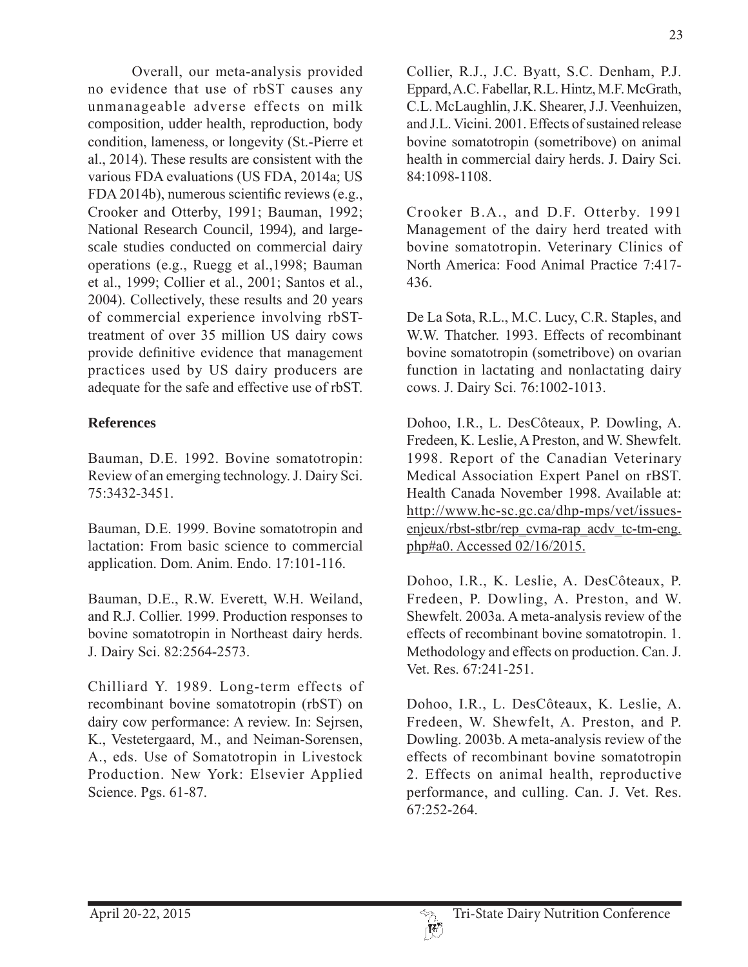Overall, our meta-analysis provided no evidence that use of rbST causes any unmanageable adverse effects on milk composition, udder health, reproduction, body condition, lameness, or longevity (St.-Pierre et al.,  $2014$ ). These results are consistent with the various FDA evaluations (US FDA, 2014a; US  $FDA 2014b$ , numerous scientific reviews (e.g., Crooker and Otterby, 1991; Bauman, 1992; National Research Council, 1994), and largescale studies conducted on commercial dairy operations (e.g., Ruegg et al., 1998; Bauman et al., 1999; Collier et al., 2001; Santos et al., 2004). Collectively, these results and 20 years of commercial experience involving rbSTtreatment of over 35 million US dairy cows provide definitive evidence that management practices used by US dairy producers are adequate for the safe and effective use of rbST.

# **References**

Bauman, D.E. 1992. Bovine somatotropin: Review of an emerging technology. J. Dairy Sci. 75:3432-3451.

Bauman, D.E. 1999. Bovine somatotropin and lactation: From basic science to commercial application. Dom. Anim. Endo. 17:101-116.

Bauman, D.E., R.W. Everett, W.H. Weiland, and R.J. Collier. 1999. Production responses to bovine somatotropin in Northeast dairy herds. J. Dairy Sci. 82:2564-2573.

Chilliard Y. 1989. Long-term effects of recombinant bovine somatotropin (rbST) on dairy cow performance: A review. In: Sejrsen, K., Vestetergaard, M., and Neiman-Sorensen, A., eds. Use of Somatotropin in Livestock Production. New York: Elsevier Applied Science. Pgs. 61-87.

Collier, R.J., J.C. Byatt, S.C. Denham, P.J. Eppard, A.C. Fabellar, R.L. Hintz, M.F. McGrath, C.L. McLaughlin, J.K. Shearer, J.J. Veenhuizen, and J.L. Vicini. 2001. Effects of sustained release bovine somatotropin (sometribove) on animal health in commercial dairy herds. J. Dairy Sci. 84:1098-1108.

Crooker B.A., and D.F. Otterby. 1991 Management of the dairy herd treated with bovine somatotropin. Veterinary Clinics of North America: Food Animal Practice 7:417-436.

De La Sota, R.L., M.C. Lucy, C.R. Staples, and W.W. Thatcher. 1993. Effects of recombinant bovine somatotropin (sometribove) on ovarian function in lactating and nonlactating dairy cows. J. Dairy Sci. 76:1002-1013.

Dohoo, I.R., L. DesCôteaux, P. Dowling, A. Fredeen, K. Leslie, A Preston, and W. Shewfelt. 1998. Report of the Canadian Veterinary Medical Association Expert Panel on rBST. Health Canada November 1998 Available at: http://www.hc-sc.gc.ca/dhp-mps/vet/issuesenjeux/rbst-stbr/rep cvma-rap acdv tc-tm-eng. php#a0. Accessed  $02/16/2015$ .

Dohoo, I.R., K. Leslie, A. DesCôteaux, P. Fredeen, P. Dowling, A. Preston, and W. Shewfelt. 2003a. A meta-analysis review of the effects of recombinant bovine somatotropin. 1. Methodology and effects on production. Can. J. Vet. Res. 67:241-251.

Dohoo, I.R., L. DesCôteaux, K. Leslie, A. Fredeen, W. Shewfelt, A. Preston, and P. Dowling. 2003b. A meta-analysis review of the effects of recombinant bovine somatotropin 2. Effects on animal health, reproductive performance, and culling. Can. J. Vet. Res.  $67:252 - 264$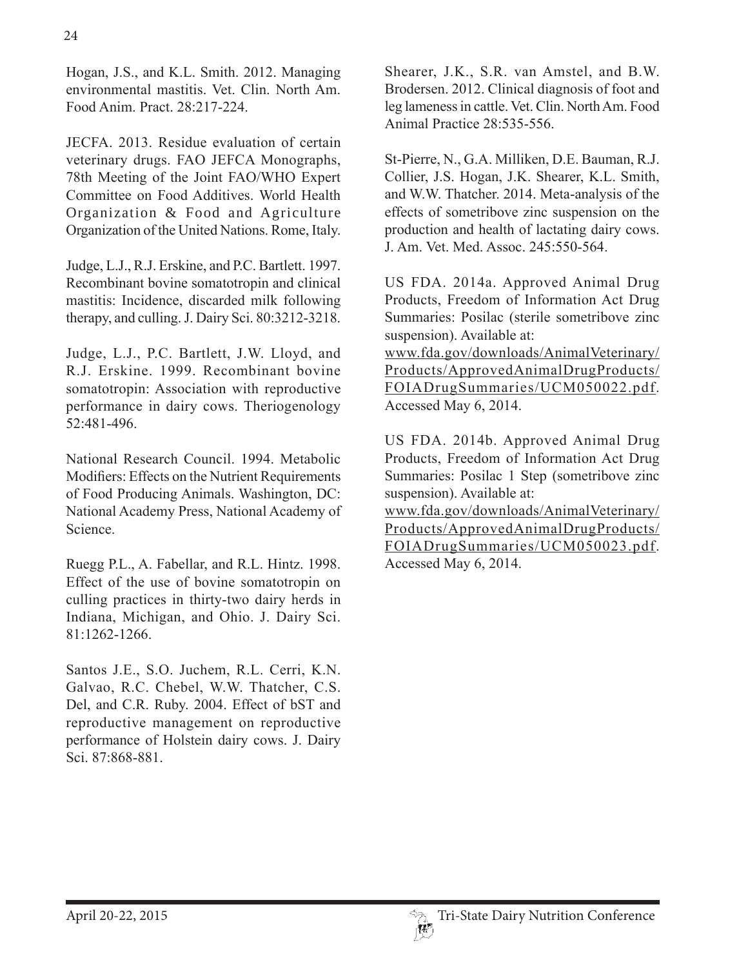Hogan, J.S., and K.L. Smith. 2012. Managing environmental mastitis. Vet. Clin. North Am. Food Anim Pract  $28:217-224$ 

JECFA. 2013. Residue evaluation of certain veterinary drugs. FAO JEFCA Monographs, 78th Meeting of the Joint FAO/WHO Expert Committee on Food Additives. World Health Organization & Food and Agriculture Organization of the United Nations. Rome, Italy.

Judge, L.J., R.J. Erskine, and P.C. Bartlett. 1997. Recombinant bovine somatotropin and clinical mastitis: Incidence, discarded milk following therapy, and culling. J. Dairy Sci. 80:3212-3218.

Judge, L.J., P.C. Bartlett, J.W. Lloyd, and R.J. Erskine. 1999. Recombinant bovine somatotropin: Association with reproductive performance in dairy cows. Theriogenology 52:481-496.

National Research Council, 1994. Metabolic Modifiers: Effects on the Nutrient Requirements of Food Producing Animals. Washington, DC: National Academy Press, National Academy of Science

Ruegg P.L., A. Fabellar, and R.L. Hintz. 1998. Effect of the use of bovine somatotropin on culling practices in thirty-two dairy herds in Indiana, Michigan, and Ohio. J. Dairy Sci. 81:1262-1266.

Santos J.E., S.O. Juchem, R.L. Cerri, K.N. Galvao, R.C. Chebel, W.W. Thatcher, C.S. Del, and C.R. Ruby. 2004. Effect of bST and reproductive management on reproductive performance of Holstein dairy cows. J. Dairy Sci. 87:868-881.

Shearer, J.K., S.R. van Amstel, and B.W. Brodersen, 2012. Clinical diagnosis of foot and leg lameness in cattle. Vet. Clin. North Am. Food Animal Practice 28:535-556.

St-Pierre, N., G.A. Milliken, D.E. Bauman, R.J. Collier, J.S. Hogan, J.K. Shearer, K.L. Smith, and W.W. Thatcher. 2014. Meta-analysis of the effects of sometribove zinc suspension on the production and health of lactating dairy cows. J. Am. Vet. Med. Assoc. 245:550-564.

US FDA. 2014a. Approved Animal Drug Products, Freedom of Information Act Drug Summaries: Posilac (sterile sometribove zinc suspension). Available at:

www.fda.gov/downloads/AnimalVeterinary/ Products/ApprovedAnimalDrugProducts/ FOIADrugSummaries/UCM050022.pdf. Accessed May 6, 2014.

US FDA. 2014b. Approved Animal Drug Products, Freedom of Information Act Drug Summaries: Posilac 1 Step (sometribove zinc suspension). Available at:

www.fda.gov/downloads/AnimalVeterinary/ Products/ApprovedAnimalDrugProducts/ FOIADrugSummaries/UCM050023.pdf. Accessed May 6, 2014.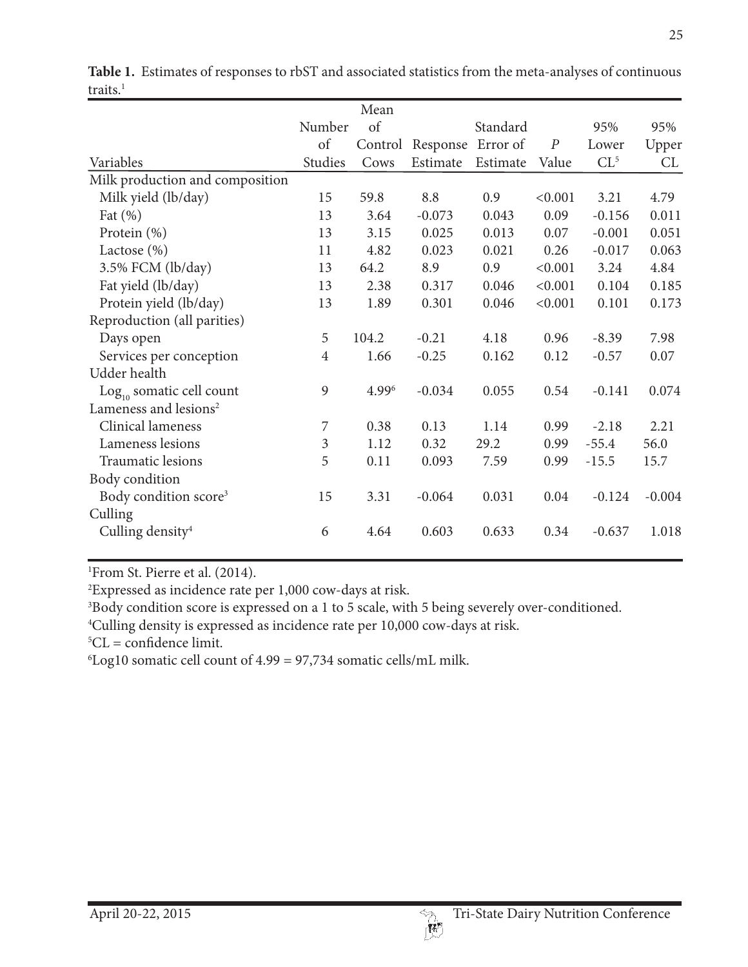|                                   |                | Mean  |                           |          |                  |                 |          |
|-----------------------------------|----------------|-------|---------------------------|----------|------------------|-----------------|----------|
|                                   | Number         | of    |                           | Standard |                  | 95%             | 95%      |
|                                   | of             |       | Control Response Error of |          | $\boldsymbol{P}$ | Lower           | Upper    |
| Variables                         | Studies        | Cows  | Estimate                  | Estimate | Value            | CL <sup>5</sup> | CL       |
| Milk production and composition   |                |       |                           |          |                  |                 |          |
| Milk yield (lb/day)               | 15             | 59.8  | 8.8                       | 0.9      | < 0.001          | 3.21            | 4.79     |
| Fat $(\% )$                       | 13             | 3.64  | $-0.073$                  | 0.043    | 0.09             | $-0.156$        | 0.011    |
| Protein $(\% )$                   | 13             | 3.15  | 0.025                     | 0.013    | 0.07             | $-0.001$        | 0.051    |
| Lactose $(\%)$                    | 11             | 4.82  | 0.023                     | 0.021    | 0.26             | $-0.017$        | 0.063    |
| $3.5\%$ FCM (lb/day)              | 13             | 64.2  | 8.9                       | 0.9      | < 0.001          | 3.24            | 4.84     |
| Fat yield (lb/day)                | 13             | 2.38  | 0.317                     | 0.046    | < 0.001          | 0.104           | 0.185    |
| Protein yield (lb/day)            | 13             | 1.89  | 0.301                     | 0.046    | < 0.001          | 0.101           | 0.173    |
| Reproduction (all parities)       |                |       |                           |          |                  |                 |          |
| Days open                         | 5              | 104.2 | $-0.21$                   | 4.18     | 0.96             | $-8.39$         | 7.98     |
| Services per conception           | $\overline{4}$ | 1.66  | $-0.25$                   | 0.162    | 0.12             | $-0.57$         | 0.07     |
| Udder health                      |                |       |                           |          |                  |                 |          |
| $Log10$ somatic cell count        | 9              | 4.996 | $-0.034$                  | 0.055    | 0.54             | $-0.141$        | 0.074    |
| Lameness and lesions <sup>2</sup> |                |       |                           |          |                  |                 |          |
| Clinical lameness                 | 7              | 0.38  | 0.13                      | 1.14     | 0.99             | $-2.18$         | 2.21     |
| Lameness lesions                  | $\mathfrak{Z}$ | 1.12  | 0.32                      | 29.2     | 0.99             | $-55.4$         | 56.0     |
| Traumatic lesions                 | 5              | 0.11  | 0.093                     | 7.59     | 0.99             | $-15.5$         | 15.7     |
| Body condition                    |                |       |                           |          |                  |                 |          |
| Body condition score <sup>3</sup> | 15             | 3.31  | $-0.064$                  | 0.031    | 0.04             | $-0.124$        | $-0.004$ |
| Culling                           |                |       |                           |          |                  |                 |          |
| Culling density <sup>4</sup>      | 6              | 4.64  | 0.603                     | 0.633    | 0.34             | $-0.637$        | 1.018    |

**Table 1.** Estimates of responses to rbST and associated statistics from the meta-analyses of continuous traits. $<sup>1</sup>$ </sup>

1 From St. Pierre et al. (2014).

2 Expressed as incidence rate per 1,000 cow-days at risk.

3 Body condition score is expressed on a 1 to 5 scale, with 5 being severely over-conditioned.

4 Culling density is expressed as incidence rate per 10,000 cow-days at risk.

 ${}^5CL =$  confidence limit.

6 Log10 somatic cell count of 4.99 = 97,734 somatic cells/mL milk.